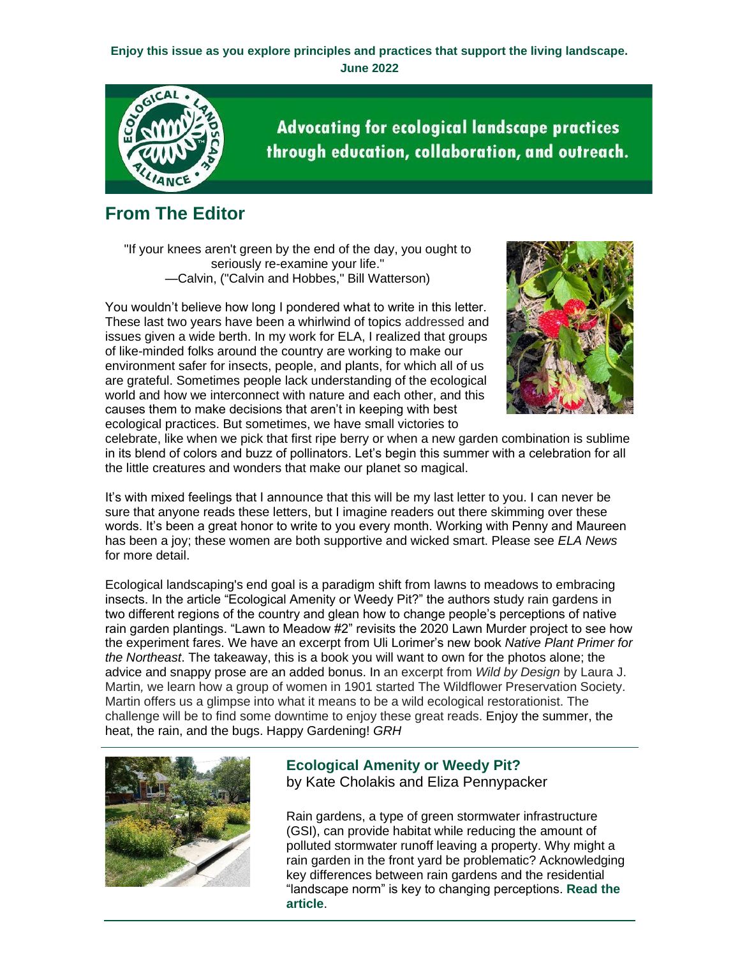## **Enjoy this issue as you explore principles and practices that support the living landscape. June 2022**



**Advocating for ecological landscape practices** through education, collaboration, and outreach.

## **From The Editor**

"If your knees aren't green by the end of the day, you ought to seriously re-examine your life." —Calvin, ("Calvin and Hobbes," Bill Watterson)

You wouldn't believe how long I pondered what to write in this letter. These last two years have been a whirlwind of topics addressed and issues given a wide berth. In my work for ELA, I realized that groups of like-minded folks around the country are working to make our environment safer for insects, people, and plants, for which all of us are grateful. Sometimes people lack understanding of the ecological world and how we interconnect with nature and each other, and this causes them to make decisions that aren't in keeping with best ecological practices. But sometimes, we have small victories to



celebrate, like when we pick that first ripe berry or when a new garden combination is sublime in its blend of colors and buzz of pollinators. Let's begin this summer with a celebration for all the little creatures and wonders that make our planet so magical.

It's with mixed feelings that I announce that this will be my last letter to you. I can never be sure that anyone reads these letters, but I imagine readers out there skimming over these words. It's been a great honor to write to you every month. Working with Penny and Maureen has been a joy; these women are both supportive and wicked smart. Please see *ELA News* for more detail.

Ecological landscaping's end goal is a paradigm shift from lawns to meadows to embracing insects. In the article "Ecological Amenity or Weedy Pit?" the authors study rain gardens in two different regions of the country and glean how to change people's perceptions of native rain garden plantings. "Lawn to Meadow #2" revisits the 2020 Lawn Murder project to see how the experiment fares. We have an excerpt from Uli Lorimer's new book *Native Plant Primer for the Northeast*. The takeaway, this is a book you will want to own for the photos alone; the advice and snappy prose are an added bonus. In an excerpt from *Wild by Design* by Laura J. Martin*,* we learn how a group of women in 1901 started The Wildflower Preservation Society. Martin offers us a glimpse into what it means to be a wild ecological restorationist. The challenge will be to find some downtime to enjoy these great reads. Enjoy the summer, the heat, the rain, and the bugs. Happy Gardening! *GRH*



**Ecological Amenity or Weedy Pit?** by Kate Cholakis and Eliza Pennypacker

Rain gardens, a type of green stormwater infrastructure (GSI), can provide habitat while reducing the amount of polluted stormwater runoff leaving a property. Why might a rain garden in the front yard be problematic? Acknowledging key differences between rain gardens and the residential "landscape norm" is key to changing perceptions. **[Read the](https://r20.rs6.net/tn.jsp?f=0018P5zUVzb0evUPPFL93G7TJLD6J8eHPqQAKsfAMXqGD8VmJtdYUGQAJWDVn240YrIAXxpF9XZVeul59buAadOYHpYEBHVI_UntFKe7QUsLIcaTwMx6ySObqMlCjXILfbB40TAY2Hoox-hXSCd8UcjSJOwWYsM8QcT7c7HmeHuI2f9t5RlFqX0UUaoK-TiPQ0c6TshTlrP6OVft2eGQWgzetBKnB2qOqi7pBgw5zeSCM7OmylIF71kHGf-fukpJmYCA4-QUwzK7zJ5r7rCu7x03g==&c=Hbm3dw1u-adr2fs1mkouHb1_idjr65xydSdps3u09yr6rR-gOsBtvQ==&ch=4OdNk4LnZoAIKYoXrI8ttYeUckp719MEYfzDDqA8puGSnL5diAOF4A==)  [article](https://r20.rs6.net/tn.jsp?f=0018P5zUVzb0evUPPFL93G7TJLD6J8eHPqQAKsfAMXqGD8VmJtdYUGQAJWDVn240YrIAXxpF9XZVeul59buAadOYHpYEBHVI_UntFKe7QUsLIcaTwMx6ySObqMlCjXILfbB40TAY2Hoox-hXSCd8UcjSJOwWYsM8QcT7c7HmeHuI2f9t5RlFqX0UUaoK-TiPQ0c6TshTlrP6OVft2eGQWgzetBKnB2qOqi7pBgw5zeSCM7OmylIF71kHGf-fukpJmYCA4-QUwzK7zJ5r7rCu7x03g==&c=Hbm3dw1u-adr2fs1mkouHb1_idjr65xydSdps3u09yr6rR-gOsBtvQ==&ch=4OdNk4LnZoAIKYoXrI8ttYeUckp719MEYfzDDqA8puGSnL5diAOF4A==)**.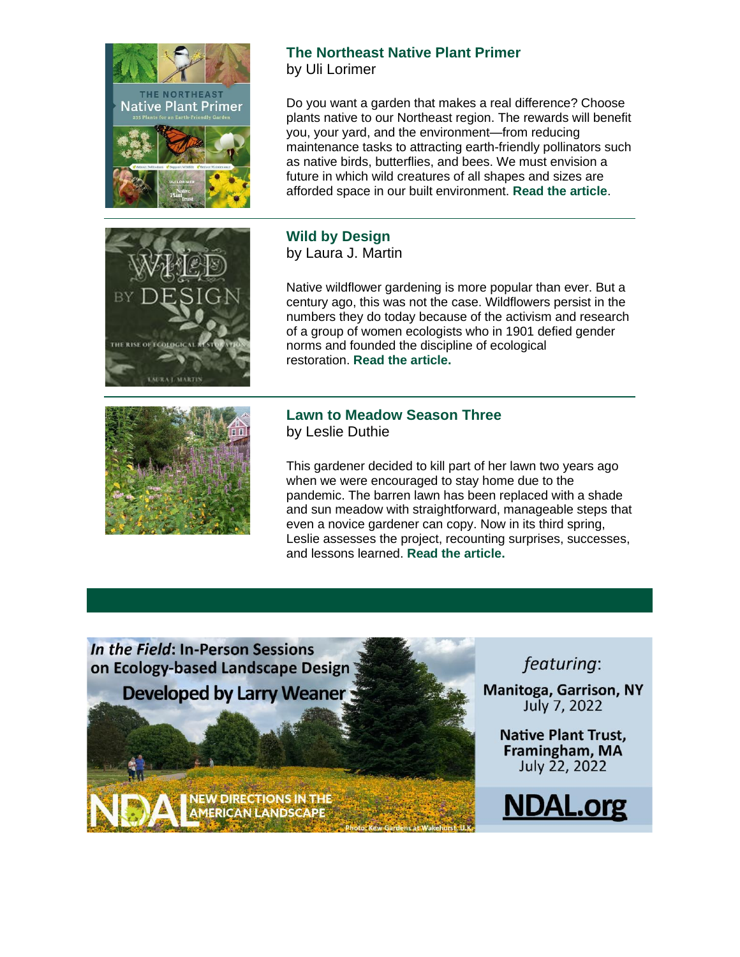

## **The Northeast Native Plant Primer** by Uli Lorimer

Do you want a garden that makes a real difference? Choose plants native to our Northeast region. The rewards will benefit you, your yard, and the environment—from reducing maintenance tasks to attracting earth-friendly pollinators such as native birds, butterflies, and bees. We must envision a future in which wild creatures of all shapes and sizes are afforded space in our built environment. **[Read the article](https://r20.rs6.net/tn.jsp?f=0018P5zUVzb0evUPPFL93G7TJLD6J8eHPqQAKsfAMXqGD8VmJtdYUGQAJWDVn240YrIKgItfN489VPkwO-2pUUe8bAK9HRlNjz6sWUNe6gDAYmig5Hj7BBuEh4qi_UedjnGJHLLFDOhVYagp7GwOKKC2VKotge8uCNIPGv64sx0aoyx_wQAkUhw4mC1lqqraZ_3zE7Jl-djLZfSEEFbIHJZYKAGFUnY9j2hGprVzNG3lw1CHU4P240g6g==&c=Hbm3dw1u-adr2fs1mkouHb1_idjr65xydSdps3u09yr6rR-gOsBtvQ==&ch=4OdNk4LnZoAIKYoXrI8ttYeUckp719MEYfzDDqA8puGSnL5diAOF4A==)**.



**Wild by Design** by Laura J. Martin

Native wildflower gardening is more popular than ever. But a century ago, this was not the case. Wildflowers persist in the numbers they do today because of the activism and research of a group of women ecologists who in 1901 defied gender norms and founded the discipline of ecological restoration. **[Read the article.](https://r20.rs6.net/tn.jsp?f=0018P5zUVzb0evUPPFL93G7TJLD6J8eHPqQAKsfAMXqGD8VmJtdYUGQAJWDVn240YrIag-S8VMZKB34vP0m3uOvXpejmSDs4nLlM8HI0mjmfsJQspacGygde7UYS0PbgnwVnq5AUUJbNYPXWQLHwDf1GoIMjKAvWMHCHpV3yyK0IszT8a4XNxFGY5jxNy_8GGooPpNsSY0oz1Oh6SOY0DbaoDptP6n5dd-X&c=Hbm3dw1u-adr2fs1mkouHb1_idjr65xydSdps3u09yr6rR-gOsBtvQ==&ch=4OdNk4LnZoAIKYoXrI8ttYeUckp719MEYfzDDqA8puGSnL5diAOF4A==)**



## **Lawn to Meadow Season Three** by Leslie Duthie

This gardener decided to kill part of her lawn two years ago when we were encouraged to stay home due to the pandemic. The barren lawn has been replaced with a shade and sun meadow with straightforward, manageable steps that even a novice gardener can copy. Now in its third spring, Leslie assesses the project, recounting surprises, successes, and lessons learned. **[Read the article.](https://r20.rs6.net/tn.jsp?f=0018P5zUVzb0evUPPFL93G7TJLD6J8eHPqQAKsfAMXqGD8VmJtdYUGQAJWDVn240YrI2WIanFbdFZvw_-8rxJclk1tDKGlM74X4u9HPf3grzz7t3DQKjgflwVF8ildpXTh__mFTRweyof8A69fLSLyQqT2VHX89W90ZloHdo80pmoJqn0LD2Uxr4QT7OFNG63A61IaFQ6NUzWGaHg1JCv9EA0Mmd5GNeZvo6d99cGzRgiXlt-WVwWmTY4F1xAsNLo5j&c=Hbm3dw1u-adr2fs1mkouHb1_idjr65xydSdps3u09yr6rR-gOsBtvQ==&ch=4OdNk4LnZoAIKYoXrI8ttYeUckp719MEYfzDDqA8puGSnL5diAOF4A==)**



featuring:

**Manitoga, Garrison, NY** July 7, 2022

> **Native Plant Trust,** Framingham, MA July 22, 2022

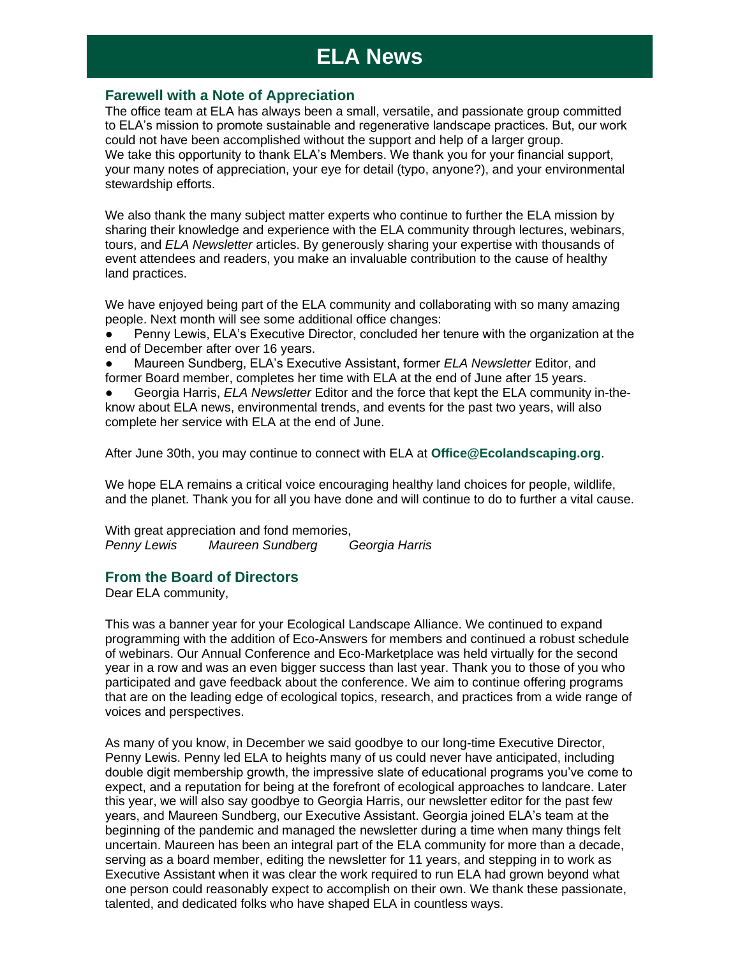## **ELA News**

### **Farewell with a Note of Appreciation**

The office team at ELA has always been a small, versatile, and passionate group committed to ELA's mission to promote sustainable and regenerative landscape practices. But, our work could not have been accomplished without the support and help of a larger group. We take this opportunity to thank ELA's Members. We thank you for your financial support, your many notes of appreciation, your eye for detail (typo, anyone?), and your environmental stewardship efforts.

We also thank the many subject matter experts who continue to further the ELA mission by sharing their knowledge and experience with the ELA community through lectures, webinars, tours, and *ELA Newsletter* articles. By generously sharing your expertise with thousands of event attendees and readers, you make an invaluable contribution to the cause of healthy land practices.

We have enjoyed being part of the ELA community and collaborating with so many amazing people. Next month will see some additional office changes:

Penny Lewis, ELA's Executive Director, concluded her tenure with the organization at the end of December after over 16 years.

● Maureen Sundberg, ELA's Executive Assistant, former *ELA Newsletter* Editor, and former Board member, completes her time with ELA at the end of June after 15 years.

Georgia Harris, *ELA Newsletter* Editor and the force that kept the ELA community in-theknow about ELA news, environmental trends, and events for the past two years, will also complete her service with ELA at the end of June.

After June 30th, you may continue to connect with ELA at **[Office@Ecolandscaping.org](mailto:Office@Ecolandscaping.org)**.

We hope ELA remains a critical voice encouraging healthy land choices for people, wildlife, and the planet. Thank you for all you have done and will continue to do to further a vital cause.

With great appreciation and fond memories, *Penny Lewis Maureen Sundberg Georgia Harris*

## **From the Board of Directors**

Dear ELA community,

This was a banner year for your Ecological Landscape Alliance. We continued to expand programming with the addition of Eco-Answers for members and continued a robust schedule of webinars. Our Annual Conference and Eco-Marketplace was held virtually for the second year in a row and was an even bigger success than last year. Thank you to those of you who participated and gave feedback about the conference. We aim to continue offering programs that are on the leading edge of ecological topics, research, and practices from a wide range of voices and perspectives.

As many of you know, in December we said goodbye to our long-time Executive Director, Penny Lewis. Penny led ELA to heights many of us could never have anticipated, including double digit membership growth, the impressive slate of educational programs you've come to expect, and a reputation for being at the forefront of ecological approaches to landcare. Later this year, we will also say goodbye to Georgia Harris, our newsletter editor for the past few years, and Maureen Sundberg, our Executive Assistant. Georgia joined ELA's team at the beginning of the pandemic and managed the newsletter during a time when many things felt uncertain. Maureen has been an integral part of the ELA community for more than a decade, serving as a board member, editing the newsletter for 11 years, and stepping in to work as Executive Assistant when it was clear the work required to run ELA had grown beyond what one person could reasonably expect to accomplish on their own. We thank these passionate, talented, and dedicated folks who have shaped ELA in countless ways.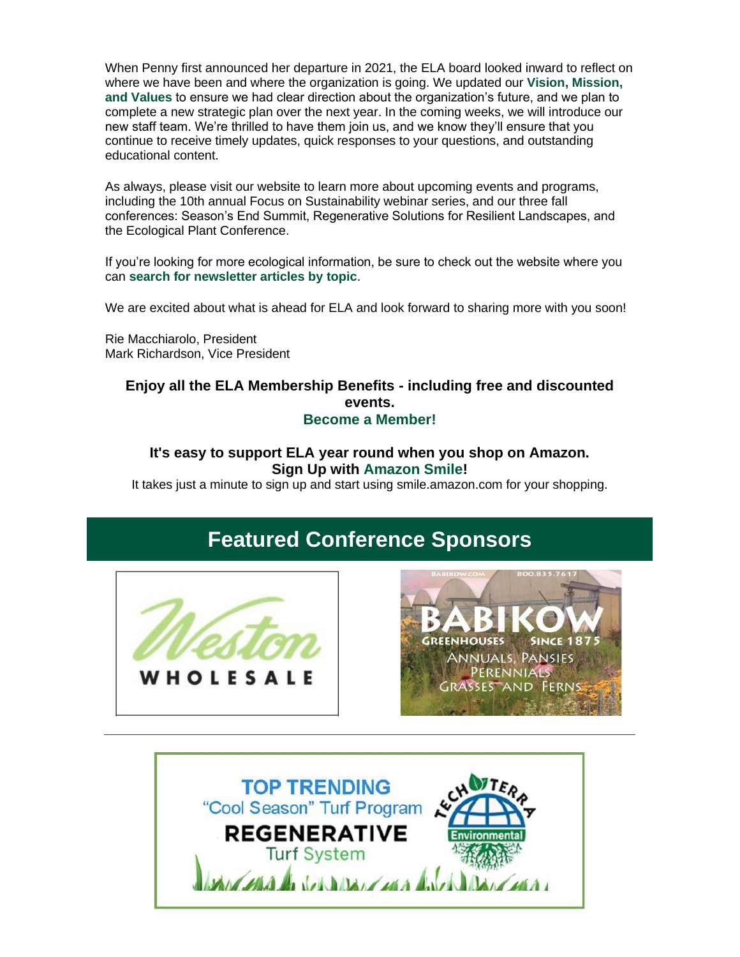When Penny first announced her departure in 2021, the ELA board looked inward to reflect on where we have been and where the organization is going. We updated our **[Vision, Mission,](https://r20.rs6.net/tn.jsp?f=0018P5zUVzb0evUPPFL93G7TJLD6J8eHPqQAKsfAMXqGD8VmJtdYUGQAD31Z0uAkY7hhoUwx69kQgxkNqRICaxBhCxj3S23TXe4sdPEF7cw1AdFXjpWtU1e3QqqCObbk2GBE2UzBKjPCQ53i0qi8RsFAkekfO8L9XcXMPKsx5PNOhk=&c=Hbm3dw1u-adr2fs1mkouHb1_idjr65xydSdps3u09yr6rR-gOsBtvQ==&ch=4OdNk4LnZoAIKYoXrI8ttYeUckp719MEYfzDDqA8puGSnL5diAOF4A==)  [and Values](https://r20.rs6.net/tn.jsp?f=0018P5zUVzb0evUPPFL93G7TJLD6J8eHPqQAKsfAMXqGD8VmJtdYUGQAD31Z0uAkY7hhoUwx69kQgxkNqRICaxBhCxj3S23TXe4sdPEF7cw1AdFXjpWtU1e3QqqCObbk2GBE2UzBKjPCQ53i0qi8RsFAkekfO8L9XcXMPKsx5PNOhk=&c=Hbm3dw1u-adr2fs1mkouHb1_idjr65xydSdps3u09yr6rR-gOsBtvQ==&ch=4OdNk4LnZoAIKYoXrI8ttYeUckp719MEYfzDDqA8puGSnL5diAOF4A==)** to ensure we had clear direction about the organization's future, and we plan to complete a new strategic plan over the next year. In the coming weeks, we will introduce our new staff team. We're thrilled to have them join us, and we know they'll ensure that you continue to receive timely updates, quick responses to your questions, and outstanding educational content.

As always, please visit our website to learn more about upcoming events and programs, including the 10th annual Focus on Sustainability webinar series, and our three fall conferences: Season's End Summit, Regenerative Solutions for Resilient Landscapes, and the Ecological Plant Conference.

If you're looking for more ecological information, be sure to check out the website where you can **[search for newsletter articles by topic](https://r20.rs6.net/tn.jsp?f=0018P5zUVzb0evUPPFL93G7TJLD6J8eHPqQAKsfAMXqGD8VmJtdYUGQAD31Z0uAkY7hOK8qAGGLsb8SeOvgZtMDFAKYiFTPl4G6WQ1UhznP15OPBR3AmlMaVZ0-3n-uslXmpEZke8oqMAY1QR_FJVMtI5oYLEuvBe9Z_4VNJzoznbo=&c=Hbm3dw1u-adr2fs1mkouHb1_idjr65xydSdps3u09yr6rR-gOsBtvQ==&ch=4OdNk4LnZoAIKYoXrI8ttYeUckp719MEYfzDDqA8puGSnL5diAOF4A==)**.

We are excited about what is ahead for ELA and look forward to sharing more with you soon!

Rie Macchiarolo, President Mark Richardson, Vice President

## **Enjoy all the ELA Membership Benefits - including free and discounted events. [Become a Member!](https://r20.rs6.net/tn.jsp?f=0018P5zUVzb0evUPPFL93G7TJLD6J8eHPqQAKsfAMXqGD8VmJtdYUGQAMfPISwWijCNbu0xXm0c-MdG8JHwY0Sj9jRWzu9V0nh3zMozdZKO_3lR-KiIQm85uz7RyCu8pQZmz11ybS_uianjwPaGLPmJbqpz8-CApv1CgGuPkfTTaRE=&c=Hbm3dw1u-adr2fs1mkouHb1_idjr65xydSdps3u09yr6rR-gOsBtvQ==&ch=4OdNk4LnZoAIKYoXrI8ttYeUckp719MEYfzDDqA8puGSnL5diAOF4A==)**

## **It's easy to support ELA year round when you shop on Amazon. Sign Up with [Amazon Smile!](https://r20.rs6.net/tn.jsp?f=0018P5zUVzb0evUPPFL93G7TJLD6J8eHPqQAKsfAMXqGD8VmJtdYUGQAD31Z0uAkY7hWKnh4miCV-sDVeLQzA6bdYJoGNQjblT6AMnyJU134piryqUXB1DwRirNbfdtR6BZR978oPSSiklWhsR7YsyQ0lItRZH4MDPgPmN8GXpSRVU=&c=Hbm3dw1u-adr2fs1mkouHb1_idjr65xydSdps3u09yr6rR-gOsBtvQ==&ch=4OdNk4LnZoAIKYoXrI8ttYeUckp719MEYfzDDqA8puGSnL5diAOF4A==)**

It takes just a minute to sign up and start using smile.amazon.com for your shopping.

## **Featured Conference Sponsors**





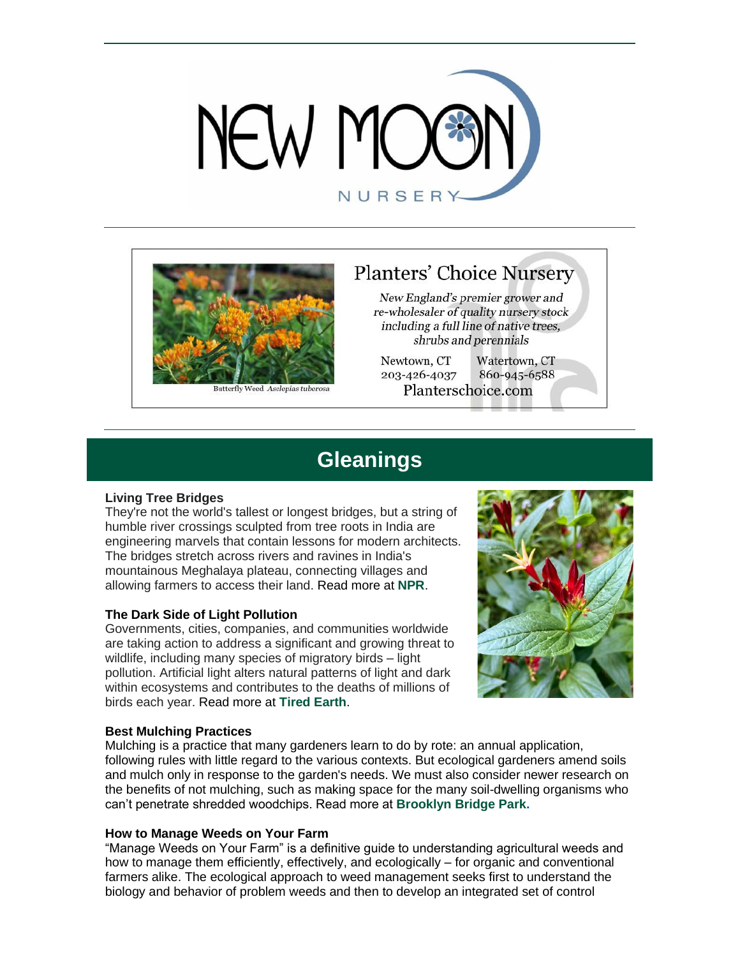



Butterfly Weed Asclepias tuberosa

## **Planters' Choice Nursery**

New England's premier grower and re-wholesaler of quality nursery stock including a full line of native trees, shrubs and perennials

Newtown, CT Watertown, CT 203-426-4037 860-945-6588 Planterschoice.com

## **Gleanings**

#### **Living Tree Bridges**

They're not the world's tallest or longest bridges, but a string of humble river crossings sculpted from tree roots in India are engineering marvels that contain lessons for modern architects. The bridges stretch across rivers and ravines in India's mountainous Meghalaya plateau, connecting villages and allowing farmers to access their land. Read more at **[NPR](https://r20.rs6.net/tn.jsp?f=0018P5zUVzb0evUPPFL93G7TJLD6J8eHPqQAKsfAMXqGD8VmJtdYUGQAJWDVn240YrIN7NIai0gbKXIyGvHsGkagn5O2pNCtIJD9VQ2QNoZcuYzClOVXHBWw4S6JdfAf4YEDkNPjWyNVxFuwPeUgTDjnWrGYxGg9FxBRjSe_ViyJGzN7wlPCBE-pLqA5lMxCG0dLZCVEIcVOLb0IR5ieU_GtWMRbKSNLLytB6KGe_O3H5hkwV-1vygPLxGmx-Z3zcP80AytB5qbV9A2ksXWAxVQFw==&c=Hbm3dw1u-adr2fs1mkouHb1_idjr65xydSdps3u09yr6rR-gOsBtvQ==&ch=4OdNk4LnZoAIKYoXrI8ttYeUckp719MEYfzDDqA8puGSnL5diAOF4A==)**.

#### **The Dark Side of Light Pollution**

Governments, cities, companies, and communities worldwide are taking action to address a significant and growing threat to wildlife, including many species of migratory birds – light pollution. Artificial light alters natural patterns of light and dark within ecosystems and contributes to the deaths of millions of birds each year. Read more at **[Tired Earth](https://r20.rs6.net/tn.jsp?f=0018P5zUVzb0evUPPFL93G7TJLD6J8eHPqQAKsfAMXqGD8VmJtdYUGQAJWDVn240YrI4SohUQkS5DQfpMr8izRdHquwpstWuZYr87bum3UjNC_QJ3A5PI7McDjl4Ms4jEvxpz5qe5t9Q0MXjRSMmASMTQkpvYam7GxJ&c=Hbm3dw1u-adr2fs1mkouHb1_idjr65xydSdps3u09yr6rR-gOsBtvQ==&ch=4OdNk4LnZoAIKYoXrI8ttYeUckp719MEYfzDDqA8puGSnL5diAOF4A==)**.



#### **Best Mulching Practices**

Mulching is a practice that many gardeners learn to do by rote: an annual application, following rules with little regard to the various contexts. But ecological gardeners amend soils and mulch only in response to the garden's needs. We must also consider newer research on the benefits of not mulching, such as making space for the many soil-dwelling organisms who can't penetrate shredded woodchips. Read more at **[Brooklyn Bridge Park.](https://r20.rs6.net/tn.jsp?f=0018P5zUVzb0evUPPFL93G7TJLD6J8eHPqQAKsfAMXqGD8VmJtdYUGQAJWDVn240YrINQBBKgobe720kJ1xBsw5UNYEzYbxytBCIt5PQDWDGGQkhjMULnCxgWmUep-t5B3vgAA6sSqwqEf-OCRqtKI-RNwNaSp6ql3sp-18mKBeH3WQafi6SxztGG7QjwD1orj6LHkPcn-YKAUzeXedPIctpsR-ZgYkeGU2dZPmsKk4JaFJU40KbhXM5qDQIeBAPmgfht9RXctWfu59nVbigx5R1_FbTtF-qdQ9&c=Hbm3dw1u-adr2fs1mkouHb1_idjr65xydSdps3u09yr6rR-gOsBtvQ==&ch=4OdNk4LnZoAIKYoXrI8ttYeUckp719MEYfzDDqA8puGSnL5diAOF4A==)** 

#### **How to Manage Weeds on Your Farm**

"Manage Weeds on Your Farm" is a definitive guide to understanding agricultural weeds and how to manage them efficiently, effectively, and ecologically – for organic and conventional farmers alike. The ecological approach to weed management seeks first to understand the biology and behavior of problem weeds and then to develop an integrated set of control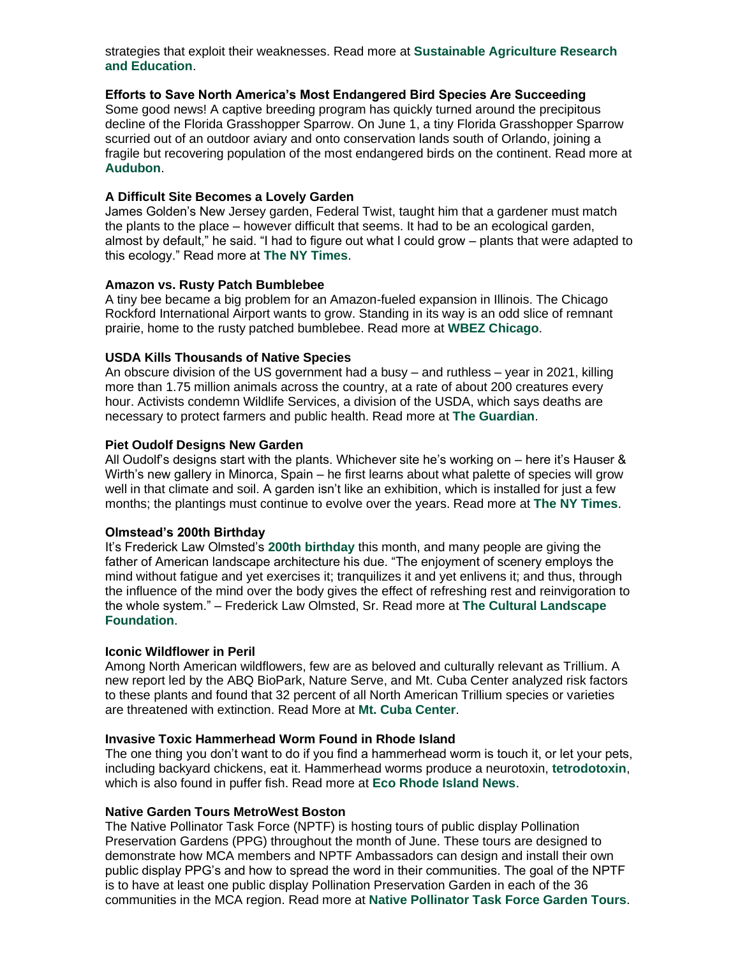strategies that exploit their weaknesses. Read more at **[Sustainable Agriculture Research](https://r20.rs6.net/tn.jsp?f=0018P5zUVzb0evUPPFL93G7TJLD6J8eHPqQAKsfAMXqGD8VmJtdYUGQAJWDVn240YrInOifoYT-cKgTArcfiWlEV0EWcLTa1LH2ESL3GYYuVJlXGMDCCxixCuGERzv5HM-xCMH0DfjrbD5QN4GUZ6g7VYA32i-GSps_5D3KhKQlrlO9pPEpsy1dH4GdcF5Zgqkbf4rOX2aA84HasqPQFK_TpbQJGj_fliUHFmjZo1h5LE0cg-y8fKBJuzshAyyBGKq-HLjK18RAcujd3fJzqdN7HHqNm9KlFPzC&c=Hbm3dw1u-adr2fs1mkouHb1_idjr65xydSdps3u09yr6rR-gOsBtvQ==&ch=4OdNk4LnZoAIKYoXrI8ttYeUckp719MEYfzDDqA8puGSnL5diAOF4A==)  [and Education](https://r20.rs6.net/tn.jsp?f=0018P5zUVzb0evUPPFL93G7TJLD6J8eHPqQAKsfAMXqGD8VmJtdYUGQAJWDVn240YrInOifoYT-cKgTArcfiWlEV0EWcLTa1LH2ESL3GYYuVJlXGMDCCxixCuGERzv5HM-xCMH0DfjrbD5QN4GUZ6g7VYA32i-GSps_5D3KhKQlrlO9pPEpsy1dH4GdcF5Zgqkbf4rOX2aA84HasqPQFK_TpbQJGj_fliUHFmjZo1h5LE0cg-y8fKBJuzshAyyBGKq-HLjK18RAcujd3fJzqdN7HHqNm9KlFPzC&c=Hbm3dw1u-adr2fs1mkouHb1_idjr65xydSdps3u09yr6rR-gOsBtvQ==&ch=4OdNk4LnZoAIKYoXrI8ttYeUckp719MEYfzDDqA8puGSnL5diAOF4A==)**.

#### **Efforts to Save North America's Most Endangered Bird Species Are Succeeding**

Some good news! A captive breeding program has quickly turned around the precipitous decline of the Florida Grasshopper Sparrow. On June 1, a tiny Florida Grasshopper Sparrow scurried out of an outdoor aviary and onto conservation lands south of Orlando, joining a fragile but recovering population of the most endangered birds on the continent. Read more at **[Audubon](https://r20.rs6.net/tn.jsp?f=0018P5zUVzb0evUPPFL93G7TJLD6J8eHPqQAKsfAMXqGD8VmJtdYUGQAJWDVn240YrIKbNcngEouWmX7FIEU-En8D6DXEekgvshE-3r2ZKMOu5oGczCIiaqD93dG5DVMZE384saQCPXFLFftaLM7ULxNJJLOhe_eDTxcTvBzItX-4Ls5ACHqyUbn2HsseWPWniuObkxalOSH5Wozuzqee2LY2MZNXyGRJwhbCHUPFbhNLg=&c=Hbm3dw1u-adr2fs1mkouHb1_idjr65xydSdps3u09yr6rR-gOsBtvQ==&ch=4OdNk4LnZoAIKYoXrI8ttYeUckp719MEYfzDDqA8puGSnL5diAOF4A==)**.

#### **A Difficult Site Becomes a Lovely Garden**

James Golden's New Jersey garden, Federal Twist, taught him that a gardener must match the plants to the place – however difficult that seems. It had to be an ecological garden, almost by default," he said. "I had to figure out what I could grow – plants that were adapted to this ecology." Read more at **[The NY Times](https://r20.rs6.net/tn.jsp?f=0018P5zUVzb0evUPPFL93G7TJLD6J8eHPqQAKsfAMXqGD8VmJtdYUGQAJWDVn240YrIitt3srqR627J-ENmub2b1iBHUF9THgtDPq-WRLZDsCIwS-cA1W94e9E_vuUyUEJyrOqE1iktEJbTRyHeltxe65x5bzA9qah-SRHvwgzpf0xpIGd-Kv3JhDBldbwFstyRKcmnTW4XjCAoi-HXeYddPsVmfykOm7BQzeoFsatGwEb2USRJlw8Zx3xQnOqHTTSYKAeHdqdVVOcrc1Yea2uF5VGqEm3JbiMH&c=Hbm3dw1u-adr2fs1mkouHb1_idjr65xydSdps3u09yr6rR-gOsBtvQ==&ch=4OdNk4LnZoAIKYoXrI8ttYeUckp719MEYfzDDqA8puGSnL5diAOF4A==)**.

#### **Amazon vs. Rusty Patch Bumblebee**

A tiny bee became a big problem for an Amazon-fueled expansion in Illinois. The Chicago Rockford International Airport wants to grow. Standing in its way is an odd slice of remnant prairie, home to the rusty patched bumblebee. Read more at **[WBEZ Chicago](https://r20.rs6.net/tn.jsp?f=0018P5zUVzb0evUPPFL93G7TJLD6J8eHPqQAKsfAMXqGD8VmJtdYUGQAJWDVn240YrIjxJwVX6DGlIVUJwLMey8nzAcAjpeQsQ2EW98GFx4Du_3Yt1YZv6NnUoT36ssSop1sWXEzFmMF-d12E9GMRMbcn18PjMCQkT9gwAHdZ8nXtB7kZJ0DHu38vRtQDfmWZNkuSQfPj3g8W4FZMEh92RUPdEyRnO4UW7LayL7HFbsg1CaHwKLMz_AvLC1MozHABWD2lkTXozg0IEIhoh--V02vVNdm2VZu8_K5MiHg1tByr7-lmjAC6MXGOEqYzwSoYjhipbUeUTckbc3XnGMhqaIUB-iIviS_NWwHadUklkyjONbtBRikkbSBJYxilZnXhz9zD3p6mapCDuwc2ucplm8uw==&c=Hbm3dw1u-adr2fs1mkouHb1_idjr65xydSdps3u09yr6rR-gOsBtvQ==&ch=4OdNk4LnZoAIKYoXrI8ttYeUckp719MEYfzDDqA8puGSnL5diAOF4A==)**.

#### **USDA Kills Thousands of Native Species**

An obscure division of the US government had a busy – and ruthless – year in 2021, killing more than 1.75 million animals across the country, at a rate of about 200 creatures every hour. Activists condemn Wildlife Services, a division of the USDA, which says deaths are necessary to protect farmers and public health. Read more at **[The Guardian](https://r20.rs6.net/tn.jsp?f=0018P5zUVzb0evUPPFL93G7TJLD6J8eHPqQAKsfAMXqGD8VmJtdYUGQAJWDVn240YrIIzVB4nVMan5m5CPeFdsEPnh6OKvmH1pxSL0lpTq1r8af7Cf4ZyQxMp48XKO7w7sw7CTYN4oR3frFIi7iE73-lcvonFtotqBA7ZjbcKUCWNkJVkgkjtrg1Me0kcKP3_6keOVVyPPHxrrp4e2i097W-uTeFV6ghLnI0kdxfIRbTsuSwDYMB6F1XA==&c=Hbm3dw1u-adr2fs1mkouHb1_idjr65xydSdps3u09yr6rR-gOsBtvQ==&ch=4OdNk4LnZoAIKYoXrI8ttYeUckp719MEYfzDDqA8puGSnL5diAOF4A==)**.

#### **Piet Oudolf Designs New Garden**

All Oudolf's designs start with the plants. Whichever site he's working on – here it's Hauser & Wirth's new gallery in Minorca, Spain – he first learns about what palette of species will grow well in that climate and soil. A garden isn't like an exhibition, which is installed for just a few months; the plantings must continue to evolve over the years. Read more at **[The NY Times](https://r20.rs6.net/tn.jsp?f=0018P5zUVzb0evUPPFL93G7TJLD6J8eHPqQAKsfAMXqGD8VmJtdYUGQAJWDVn240YrIrr8B-Oh14upKufOcV8gt6DiNIfFsW3RwP2-utbatKgeLxtaorb1XKtZVtPoXb-2IX3BympaVvwAleF5QplrRzA2MNpp4Unzc-tzI_QqAolz8deBdAvJMD9hXqg-WGK0T-WKLIHVw6OStaKGlMnQY93YZbbIzApTOsoeXFAu_PRMUd-MYImP084v2XKTqy-9YF5GV_oR9Qp78kocIqUVowTdypZLOqOUj5K4SPiYuYfz3endQBcWGgWK5Vf-Xm_Dq&c=Hbm3dw1u-adr2fs1mkouHb1_idjr65xydSdps3u09yr6rR-gOsBtvQ==&ch=4OdNk4LnZoAIKYoXrI8ttYeUckp719MEYfzDDqA8puGSnL5diAOF4A==)**.

#### **Olmstead's 200th Birthday**

It's Frederick Law Olmsted's **[200th birthday](https://r20.rs6.net/tn.jsp?f=0018P5zUVzb0evUPPFL93G7TJLD6J8eHPqQAKsfAMXqGD8VmJtdYUGQAJWDVn240YrI-JS-hV6fKW_p0_BHsNVcj4SF2iuF6wFSD_fPJF6NaW6gUWbrEG3A9IxyZqhpuOzQ-luLmrV5Ta0OinLIQWXj5tdJFVIs4X9HT_W9MA0Aw3ULzMnRh1EoF5BkCSWFIaX1yMTMKHoARuwTcQk5BuhCQW_mQ-McU0Z5eDrstqW_MDG-_Y1686pGXSO_nPWJtf7xKBy_ggiaTKRltapj_hBQus2sBxLYMYfV-QEQvtKENmqJRnkh7PWqxfYokjY-KwC-sQB7fItUUg1Exwi0e8HuRqTyU-NMgmI6h7s1bzKM_CdKMkmJPAJfSkiCGNLzA90GGIylX18gYSkZ1ZpEG3dI3U_Y-jU6vmcvpbYLrj83x-2Ktpr01rkNS97j8YrUAMim-9tdk-K5GVlbU6Vi5oxb36ynx5Su5IHMBfpPnFNRRkZNUPHXxrbKJeuJbRKZUNvDq08KFD-rQq5qVi2AC21JyUIvgcNF-Nv-aprcLPKwFoE3mbb9cNYiB-RcsAtOrJxgGyyGz1lwhrV49jX6AC7hPQ==&c=Hbm3dw1u-adr2fs1mkouHb1_idjr65xydSdps3u09yr6rR-gOsBtvQ==&ch=4OdNk4LnZoAIKYoXrI8ttYeUckp719MEYfzDDqA8puGSnL5diAOF4A==)** this month, and many people are giving the father of American landscape architecture his due. "The enjoyment of scenery employs the mind without fatigue and yet exercises it; tranquilizes it and yet enlivens it; and thus, through the influence of the mind over the body gives the effect of refreshing rest and reinvigoration to the whole system." – Frederick Law Olmsted, Sr. Read more at **[The Cultural Landscape](https://r20.rs6.net/tn.jsp?f=0018P5zUVzb0evUPPFL93G7TJLD6J8eHPqQAKsfAMXqGD8VmJtdYUGQAJWDVn240YrI_3eHFSU9eMVU165oCoPfQ5VccL469sTyUhBL_tIZ0nckIBBT10LpWyZM8hVmCGhXDtwqGzTOJJAdd6oulWnXlhwt7wcVw0Us&c=Hbm3dw1u-adr2fs1mkouHb1_idjr65xydSdps3u09yr6rR-gOsBtvQ==&ch=4OdNk4LnZoAIKYoXrI8ttYeUckp719MEYfzDDqA8puGSnL5diAOF4A==)  [Foundation](https://r20.rs6.net/tn.jsp?f=0018P5zUVzb0evUPPFL93G7TJLD6J8eHPqQAKsfAMXqGD8VmJtdYUGQAJWDVn240YrI_3eHFSU9eMVU165oCoPfQ5VccL469sTyUhBL_tIZ0nckIBBT10LpWyZM8hVmCGhXDtwqGzTOJJAdd6oulWnXlhwt7wcVw0Us&c=Hbm3dw1u-adr2fs1mkouHb1_idjr65xydSdps3u09yr6rR-gOsBtvQ==&ch=4OdNk4LnZoAIKYoXrI8ttYeUckp719MEYfzDDqA8puGSnL5diAOF4A==)**.

#### **Iconic Wildflower in Peril**

Among North American wildflowers, few are as beloved and culturally relevant as Trillium. A new report led by the ABQ BioPark, Nature Serve, and Mt. Cuba Center analyzed risk factors to these plants and found that 32 percent of all North American Trillium species or varieties are threatened with extinction. Read More at **[Mt. Cuba Center](https://r20.rs6.net/tn.jsp?f=0018P5zUVzb0evUPPFL93G7TJLD6J8eHPqQAKsfAMXqGD8VmJtdYUGQAJWDVn240YrI8FHE1YCJnTtx_xh7IFLbNo5chzT9UtTSnfEdsec4_g-bQQBCmxe--K2dXBij9CfzDg0eO0otrQp_Xq-EIcbTXvo7OahB4nUyiquRshHNmgcfBlS39FmhFN0qsQiTbxs0&c=Hbm3dw1u-adr2fs1mkouHb1_idjr65xydSdps3u09yr6rR-gOsBtvQ==&ch=4OdNk4LnZoAIKYoXrI8ttYeUckp719MEYfzDDqA8puGSnL5diAOF4A==)**.

#### **Invasive Toxic Hammerhead Worm Found in Rhode Island**

The one thing you don't want to do if you find a hammerhead worm is touch it, or let your pets, including backyard chickens, eat it. Hammerhead worms produce a neurotoxin, **[tetrodotoxin](https://r20.rs6.net/tn.jsp?f=0018P5zUVzb0evUPPFL93G7TJLD6J8eHPqQAKsfAMXqGD8VmJtdYUGQAJWDVn240YrI26jHi5DhYsDs9sn4oQWS8FXUpkEO-o_bR7WjdbhORsWUpyZV_oKsvufPCXEO5i-KeF1tf7udX-qRuxItAKud4P_oYLSmXkMp8sTd4uvNuGrpOb2w-Nq4NnzIOV5wvKyJbyRdI-S-7DsPkCDZAma34A==&c=Hbm3dw1u-adr2fs1mkouHb1_idjr65xydSdps3u09yr6rR-gOsBtvQ==&ch=4OdNk4LnZoAIKYoXrI8ttYeUckp719MEYfzDDqA8puGSnL5diAOF4A==)**, which is also found in puffer fish. Read more at **[Eco Rhode Island News](https://r20.rs6.net/tn.jsp?f=0018P5zUVzb0evUPPFL93G7TJLD6J8eHPqQAKsfAMXqGD8VmJtdYUGQAJWDVn240YrIfd_irv-GefF_MzjWQZTEQHz3RW9F_r32ASBlgpzMU4y-3ovWdjLe-qC3IV7cQS8_B5HPbLktu9pv89yRgPlpQkf_VZ-C68djdsblXdbi0Anvc68qmF3OJRDUL2hjuh6qHudmOFf3jG4=&c=Hbm3dw1u-adr2fs1mkouHb1_idjr65xydSdps3u09yr6rR-gOsBtvQ==&ch=4OdNk4LnZoAIKYoXrI8ttYeUckp719MEYfzDDqA8puGSnL5diAOF4A==)**.

#### **Native Garden Tours MetroWest Boston**

The Native Pollinator Task Force (NPTF) is hosting tours of public display Pollination Preservation Gardens (PPG) throughout the month of June. These tours are designed to demonstrate how MCA members and NPTF Ambassadors can design and install their own public display PPG's and how to spread the word in their communities. The goal of the NPTF is to have at least one public display Pollination Preservation Garden in each of the 36 communities in the MCA region. Read more at **[Native Pollinator Task Force Garden Tours](https://r20.rs6.net/tn.jsp?f=0018P5zUVzb0evUPPFL93G7TJLD6J8eHPqQAKsfAMXqGD8VmJtdYUGQAJWDVn240YrI60n20e7y3xJYoAfdh2mwcTRkT6Y6dzbXkmuuKRRBaNYq4ZmTkHZu1loVdjrHGl1ejSPf-dlQx5_WAf8WcrGJSptJ01-dQfXyH2bWCTY4FcSLkzQ6TotYD2c6ZqHo_OseFZBcCnDrJMpblKRVYeYwXXph62Xv8eGGD2-0x5HHrGw=&c=Hbm3dw1u-adr2fs1mkouHb1_idjr65xydSdps3u09yr6rR-gOsBtvQ==&ch=4OdNk4LnZoAIKYoXrI8ttYeUckp719MEYfzDDqA8puGSnL5diAOF4A==)**.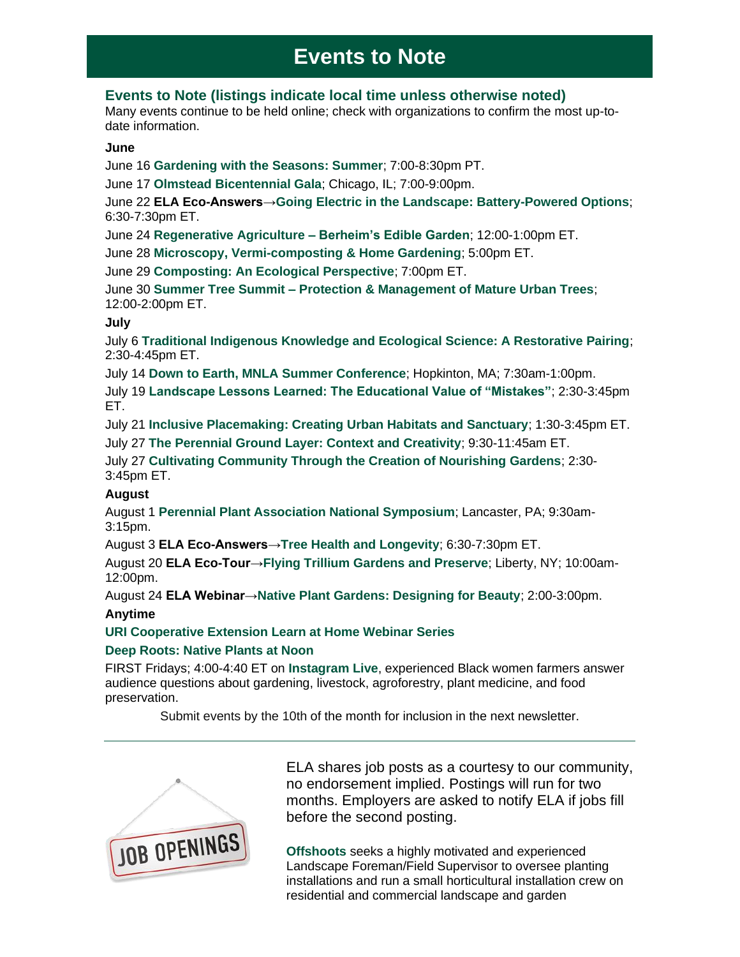# **Events to Note**

## **Events to Note (listings indicate local time unless otherwise noted)**

Many events continue to be held online; check with organizations to confirm the most up-todate information.

#### **June**

June 16 **[Gardening with the Seasons: Summer](https://r20.rs6.net/tn.jsp?f=0018P5zUVzb0evUPPFL93G7TJLD6J8eHPqQAKsfAMXqGD8VmJtdYUGQAJWDVn240YrIwn65Yb4IlEWeprhEwJR9KfXYZexZarunaXk5pYjN7aIZfTX0NHStPG3rMpgXCFupClSnzV3hmwMCZCKEe9UaQbg_VV3j0VJqQ68OSK3fqb61AKNcWC8aZ5_ETRvQpLDrdOp8ivzKus3NZcLdHIBUuz5sG4yDPGS6xHiRwHuR75RbxwOsCDI0Ijtsr7tTGUbb&c=Hbm3dw1u-adr2fs1mkouHb1_idjr65xydSdps3u09yr6rR-gOsBtvQ==&ch=4OdNk4LnZoAIKYoXrI8ttYeUckp719MEYfzDDqA8puGSnL5diAOF4A==)**; 7:00-8:30pm PT.

June 17 **[Olmstead Bicentennial Gala](https://r20.rs6.net/tn.jsp?f=0018P5zUVzb0evUPPFL93G7TJLD6J8eHPqQAKsfAMXqGD8VmJtdYUGQAJWDVn240YrIyhYg5kv5bgXAMiYhGGlQunCwsodGzGwtZU6nRzdes3uZ5csxP4Js4NSIcMW3eX2sb5URmrVG7LXEaCKE-96ryoxlSycOiPkFO3lsL-RN5SIdWzj2hxENSZULEdlqWEN2&c=Hbm3dw1u-adr2fs1mkouHb1_idjr65xydSdps3u09yr6rR-gOsBtvQ==&ch=4OdNk4LnZoAIKYoXrI8ttYeUckp719MEYfzDDqA8puGSnL5diAOF4A==)**; Chicago, IL; 7:00-9:00pm.

June 22 **ELA Eco-Answers[→Going Electric in the Landscape: Battery-Powered Options](https://r20.rs6.net/tn.jsp?f=0018P5zUVzb0evUPPFL93G7TJLD6J8eHPqQAKsfAMXqGD8VmJtdYUGQAIElKjyXxHA4IDaKFrKfpJMcRyKTbj8flKCA3AZqV1h3PU5HF4bIrJlL2Jk5jsvi6jnv58XaGipXtuHjLOqCAkd9Das0j3i9BQuFxTXxWi1OHRpi8OjEDOmPSzRmTf3wyJB4rsZlM_1FWRVzTFRHninPfMdCaS1JYA==&c=Hbm3dw1u-adr2fs1mkouHb1_idjr65xydSdps3u09yr6rR-gOsBtvQ==&ch=4OdNk4LnZoAIKYoXrI8ttYeUckp719MEYfzDDqA8puGSnL5diAOF4A==)**; 6:30-7:30pm ET.

June 24 **[Regenerative Agriculture –](https://r20.rs6.net/tn.jsp?f=0018P5zUVzb0evUPPFL93G7TJLD6J8eHPqQAKsfAMXqGD8VmJtdYUGQAJWDVn240YrIHOPsCH55axT5_ITcEApTJq-M7_yOHnxEckGFOByv16vHybBBAR3Rbk6GSSJOa1_haHxSphg5rzf1fmqPN9YakVb8pfru0XH8COgZYCfoyZ7uN7udCegMdNXGgt3TvfXiP3o_s8jopSiTWhU_lnnkdPVJp9pxn7SuCWiKBzI-mmYNXHIdHX_ZhQ==&c=Hbm3dw1u-adr2fs1mkouHb1_idjr65xydSdps3u09yr6rR-gOsBtvQ==&ch=4OdNk4LnZoAIKYoXrI8ttYeUckp719MEYfzDDqA8puGSnL5diAOF4A==) Berheim's Edible Garden**; 12:00-1:00pm ET.

June 28 **[Microscopy, Vermi-composting & Home Gardening](https://r20.rs6.net/tn.jsp?f=0018P5zUVzb0evUPPFL93G7TJLD6J8eHPqQAKsfAMXqGD8VmJtdYUGQAJWDVn240YrIKnmkziNnZf5D6rUFPDtzJ7Dequf8MuO7L-pL5jcxIup8zr_BD7PmCZKR7J6DR4MYJXFRzl4amYWy1-eS0lCOicY1_2zu2Txc9p8RcyUUhvbdrzdsv8EfeFCnN5oe9tmgZDj4OiaSZPcQM2PjOiAkRWo2Q3t2p2fBKukaWe1duoCrUE-GmJTIBqgM585lLObVQ_KcUZPI-mzKlFeBGE03vA==&c=Hbm3dw1u-adr2fs1mkouHb1_idjr65xydSdps3u09yr6rR-gOsBtvQ==&ch=4OdNk4LnZoAIKYoXrI8ttYeUckp719MEYfzDDqA8puGSnL5diAOF4A==)**; 5:00pm ET.

June 29 **[Composting: An Ecological Perspective](https://r20.rs6.net/tn.jsp?f=0018P5zUVzb0evUPPFL93G7TJLD6J8eHPqQAKsfAMXqGD8VmJtdYUGQAJWDVn240YrI9PvsG4yxA5gjyJHbyZO4C6cRnSK63RhA0ByIEDgwfZkSA_OWt4B1QTD99Ziu-5SFxkgfL0coVS5OTpOer3Uh4n27FSIam6qPuCZN9cr6tnylMCCnkRkl5AfRkSkh7S1gUH2IUP-kwqIUtMsuiBE_LSoDHBthvGbrR8996JpYZKpuwPpYdsNF4MbJuaPP2d_To1_gcMrKqqiYBHs6Cy49UIVq7JGrY5OiBm7QtFjHBMeVCAzP21AthQ==&c=Hbm3dw1u-adr2fs1mkouHb1_idjr65xydSdps3u09yr6rR-gOsBtvQ==&ch=4OdNk4LnZoAIKYoXrI8ttYeUckp719MEYfzDDqA8puGSnL5diAOF4A==)**; 7:00pm ET.

June 30 **Summer Tree Summit – [Protection & Management of Mature Urban Trees](https://r20.rs6.net/tn.jsp?f=0018P5zUVzb0evUPPFL93G7TJLD6J8eHPqQAKsfAMXqGD8VmJtdYUGQAJWDVn240YrIuPUZmOPMw-OCbaz6EOGa4aVWQvzihscQWmnIc3MBq5KOwhEZGTvAFEg8UkjJ8ayZsj7nmeia3KKygUOMoUKk6tG1dIrmZg3KU44aJlJT6z9U5MQN2wAqh59XfU0IAjSPnkFjuQPO8_sjxmZrfFKCIAizBfCKSBFDRkR1NA_Ep--_085-_SxGGw==&c=Hbm3dw1u-adr2fs1mkouHb1_idjr65xydSdps3u09yr6rR-gOsBtvQ==&ch=4OdNk4LnZoAIKYoXrI8ttYeUckp719MEYfzDDqA8puGSnL5diAOF4A==)**; 12:00-2:00pm ET.

### **July**

July 6 **[Traditional Indigenous Knowledge and Ecological Science: A Restorative Pairing](https://r20.rs6.net/tn.jsp?f=0018P5zUVzb0evUPPFL93G7TJLD6J8eHPqQAKsfAMXqGD8VmJtdYUGQAIOCKSPAFA5iS4CGnrSFxhMsz4yv5eE5bUW1csgecrg66zDVql90ozvEs7_1ahYyqSP-1rKB4q922Q2rXeHK06M3l3LQ7o7vwEnEn3gcr8xDKudYSrKcfwMxTNJqongCm0pp5t5oT0g2LseSQMzX5MGG1dOuoLp5Sw==&c=Hbm3dw1u-adr2fs1mkouHb1_idjr65xydSdps3u09yr6rR-gOsBtvQ==&ch=4OdNk4LnZoAIKYoXrI8ttYeUckp719MEYfzDDqA8puGSnL5diAOF4A==)**; 2:30-4:45pm ET.

July 14 **[Down to Earth, MNLA Summer Conference](https://r20.rs6.net/tn.jsp?f=0018P5zUVzb0evUPPFL93G7TJLD6J8eHPqQAKsfAMXqGD8VmJtdYUGQAIOCKSPAFA5i_64YLN8LBPZuTkzagWm7n8DOZgztQPpyK5aL72X-cX0ex6NVc8xTDU4_8Sb0JC0Rv88qzyxhAQ_c1TIrcFVyWNWP_eqEEGCZH-qDvR8BY9mCKSXB8vX_Giix9vhPF8JMJJPJ78KT1ZYu5jXv8tjQSw_hCHxJEMnisq19qFDoBKFuc3ueU5cO6y7vodAf9iXg&c=Hbm3dw1u-adr2fs1mkouHb1_idjr65xydSdps3u09yr6rR-gOsBtvQ==&ch=4OdNk4LnZoAIKYoXrI8ttYeUckp719MEYfzDDqA8puGSnL5diAOF4A==)**; Hopkinton, MA; 7:30am-1:00pm.

July 19 **[Landscape Lessons Learned: The Educational Value of "Mistakes"](https://r20.rs6.net/tn.jsp?f=0018P5zUVzb0evUPPFL93G7TJLD6J8eHPqQAKsfAMXqGD8VmJtdYUGQAIOCKSPAFA5iCPFvsAL0lKPAqUugoI4lc6Jcw-L7PtY3NCvo1EuiEZgXGW0ZTWKSjudF8d5FCGrLouShehl4Lt10BMD__9QGKvFodgR-KL4d5_Bo69Ip7wnNwePAo1ng4nRdbGdRRnq3ULeCemXNhmAdbwnJbytzrw==&c=Hbm3dw1u-adr2fs1mkouHb1_idjr65xydSdps3u09yr6rR-gOsBtvQ==&ch=4OdNk4LnZoAIKYoXrI8ttYeUckp719MEYfzDDqA8puGSnL5diAOF4A==)**; 2:30-3:45pm ET.

July 21 **[Inclusive Placemaking: Creating Urban Habitats and Sanctuary](https://r20.rs6.net/tn.jsp?f=0018P5zUVzb0evUPPFL93G7TJLD6J8eHPqQAKsfAMXqGD8VmJtdYUGQAJWDVn240YrIfegqSpJHo9VDm0Kq-v9JsMr3CG_tODruqyLlwykx7LxpWjOar6rkQsuHVf6zYwnNw-JY0NmTQsJoGpI-EvhkOi5DVLpQNrmRVJiouX78IC8PamazNl7jfBGY4m4u6i00iby5T3H03xe-eeF1qwLbuA==&c=Hbm3dw1u-adr2fs1mkouHb1_idjr65xydSdps3u09yr6rR-gOsBtvQ==&ch=4OdNk4LnZoAIKYoXrI8ttYeUckp719MEYfzDDqA8puGSnL5diAOF4A==)**; 1:30-3:45pm ET.

July 27 **[The Perennial Ground Layer: Context and Creativity](https://r20.rs6.net/tn.jsp?f=0018P5zUVzb0evUPPFL93G7TJLD6J8eHPqQAKsfAMXqGD8VmJtdYUGQAIOCKSPAFA5isx2ma8PXXnp2H9Di2o9928llJc95gPFPUFX5JOFfH2-HIhIyJ8_1zff41VSSwCGw0j4iU5349twKeZBoB26QopT-XMAa0dsHx3kZHkgShwBqYaNgmhHdaaCgGauNcEyAUSGg0lU-LDDisddIsD2zAg==&c=Hbm3dw1u-adr2fs1mkouHb1_idjr65xydSdps3u09yr6rR-gOsBtvQ==&ch=4OdNk4LnZoAIKYoXrI8ttYeUckp719MEYfzDDqA8puGSnL5diAOF4A==)**; 9:30-11:45am ET.

July 27 **[Cultivating Community Through the Creation of Nourishing Gardens](https://r20.rs6.net/tn.jsp?f=0018P5zUVzb0evUPPFL93G7TJLD6J8eHPqQAKsfAMXqGD8VmJtdYUGQAIOCKSPAFA5i7qfo3vbqVn8HROaS18H9A0piWTYAQnSqglQ_q5Wmq07n01gG_XegFMrAXG1am6cKbwCcI-stfABqgl_JZgB_zhOkeyyDu6Gfw_I8qtL1szANWH15EZGaThMkEmIWpVSlr1Lmv60jgN7h8Kr36bnNaw==&c=Hbm3dw1u-adr2fs1mkouHb1_idjr65xydSdps3u09yr6rR-gOsBtvQ==&ch=4OdNk4LnZoAIKYoXrI8ttYeUckp719MEYfzDDqA8puGSnL5diAOF4A==)**; 2:30- 3:45pm ET.

#### **August**

August 1 **[Perennial Plant Association National Symposium](https://r20.rs6.net/tn.jsp?f=0018P5zUVzb0evUPPFL93G7TJLD6J8eHPqQAKsfAMXqGD8VmJtdYUGQAJWDVn240YrIzjPoDA1XlbNJG9lb5r9Xk_G6HQzcFYU_r53ARYFZp1H_NQ_IuSo9PywdrSrD8rab9DMxp7rJWt97OHy9bOnR_lcx0-XPfInGxmCd5Sb2QuA=&c=Hbm3dw1u-adr2fs1mkouHb1_idjr65xydSdps3u09yr6rR-gOsBtvQ==&ch=4OdNk4LnZoAIKYoXrI8ttYeUckp719MEYfzDDqA8puGSnL5diAOF4A==)**; Lancaster, PA; 9:30am-3:15pm.

August 3 **ELA Eco-Answers[→Tree Health and Longevity](https://r20.rs6.net/tn.jsp?f=0018P5zUVzb0evUPPFL93G7TJLD6J8eHPqQAKsfAMXqGD8VmJtdYUGQAPFjHp_UHvxiC55m7TtH3bGrCcvt4WddylYlQBB3VImU-IRVQdWcWoryHNHiwyjJKX_tsFnFMS3Y3vvEoEgrS7IXOWHwAIwgOflKQnL4S77HKbGxmNHF3x5kgofLJUEJKRXxiKC-qJddLV-EEOO8RvE=&c=Hbm3dw1u-adr2fs1mkouHb1_idjr65xydSdps3u09yr6rR-gOsBtvQ==&ch=4OdNk4LnZoAIKYoXrI8ttYeUckp719MEYfzDDqA8puGSnL5diAOF4A==)**; 6:30-7:30pm ET.

August 20 **ELA Eco-Tour[→Flying Trillium Gardens and Preserve](https://r20.rs6.net/tn.jsp?f=0018P5zUVzb0evUPPFL93G7TJLD6J8eHPqQAKsfAMXqGD8VmJtdYUGQAPkkpX9zt9kBQigpNthxSR_BALCnq-AIaHXutYQ1m9hTD_2n7JzSNc_9xkFtcZoZHFBs2eVCXtnizOQGvNEZOknqreAsVNj6MEy4yP421O5_CAH0vCMHk1VtqutarZQBAqBmSl7LmL4ZaA1q29s7TKEZvzNCYr_bmXSg8MpQ5dL-OWX1_M3n6PA=&c=Hbm3dw1u-adr2fs1mkouHb1_idjr65xydSdps3u09yr6rR-gOsBtvQ==&ch=4OdNk4LnZoAIKYoXrI8ttYeUckp719MEYfzDDqA8puGSnL5diAOF4A==)**; Liberty, NY; 10:00am-12:00pm.

August 24 **ELA Webinar[→Native Plant Gardens: Designing for Beauty](https://r20.rs6.net/tn.jsp?f=0018P5zUVzb0evUPPFL93G7TJLD6J8eHPqQAKsfAMXqGD8VmJtdYUGQAPFjHp_UHvxiVKdwX9S8QDSMRcvnX7sZOUFPTXuwroyMdd3YTwtCeDkXiI1yKF6yQEn7XGosrKOYnnrh4xaYTPHmFvgzDKxGLNg-8XW4vmA6iJMPXdWE2MwMAdyNmIeqhtISVEM0a8Z1&c=Hbm3dw1u-adr2fs1mkouHb1_idjr65xydSdps3u09yr6rR-gOsBtvQ==&ch=4OdNk4LnZoAIKYoXrI8ttYeUckp719MEYfzDDqA8puGSnL5diAOF4A==)**; 2:00-3:00pm.

### **Anytime**

**[URI Cooperative Extension Learn at Home Webinar Series](https://r20.rs6.net/tn.jsp?f=001AFho08mAnEeBmz843iFWK8NKptjui6lRFEStwzlCyIpUGk5-t9o9e7r1DyUwwx1Zr9ncQo5XvcR251wOMS6rhvmkv80tJ_DW2CLG3eZid2f06skFVz0FEQYsW6y1_cJA4Z13vcSjJj0DTe9oidO8dFb-bsexlUvPweU9jEPfoVQ8_rAXBI0XaIfC51ZFSAYU5up4I7Gnk3AG6x6AWiBIyI4ezJ_2LuvvRSCHfRNyURTp0g-DgZ7Rbw==&c=FELuz_3rfOF6ckbIZGoXYyALx-ce3Pd95vX4qveq6z1wABV3wVGjDQ==&ch=uc69vArgMunqwA4qRtremhqjJJzC5bKqRJOhou9QRAZEkHUgBjD5RQ==)**

#### **[Deep Roots: Native Plants at Noon](https://r20.rs6.net/tn.jsp?f=0018P5zUVzb0evUPPFL93G7TJLD6J8eHPqQAKsfAMXqGD8VmJtdYUGQAMfbU5TXzlLi7du5KuQHms155ZdNBJBJHUo2ZMJix_EZ2D43FN5xoH4Zm1FYGKDU2A4EbIrAt8P26T0ZyzRljNiOEqQoC5cqKL8-c0e711nK&c=Hbm3dw1u-adr2fs1mkouHb1_idjr65xydSdps3u09yr6rR-gOsBtvQ==&ch=4OdNk4LnZoAIKYoXrI8ttYeUckp719MEYfzDDqA8puGSnL5diAOF4A==)**

FIRST Fridays; 4:00-4:40 ET on **[Instagram Live](https://r20.rs6.net/tn.jsp?f=0018P5zUVzb0evUPPFL93G7TJLD6J8eHPqQAKsfAMXqGD8VmJtdYUGQALq9n9dlTiqFVk-3wv-xbnwu1xM3UtDx7X47aNzPBLjMWsVs3jNnZwqJd9cr1udoPanUY6EMidbI8FmYy7QCaAcSID-WzHVnaSXe4iLmXiVbkEWcA6Zw5m0=&c=Hbm3dw1u-adr2fs1mkouHb1_idjr65xydSdps3u09yr6rR-gOsBtvQ==&ch=4OdNk4LnZoAIKYoXrI8ttYeUckp719MEYfzDDqA8puGSnL5diAOF4A==)**, experienced Black women farmers answer audience questions about gardening, livestock, agroforestry, plant medicine, and food preservation.

Submit events by the 10th of the month for inclusion in the next newsletter.



ELA shares job posts as a courtesy to our community, no endorsement implied. Postings will run for two months. Employers are asked to notify ELA if jobs fill before the second posting.

**Offshoots** seeks a highly motivated and experienced Landscape Foreman/Field Supervisor to oversee planting installations and run a small horticultural installation crew on residential and commercial landscape and garden